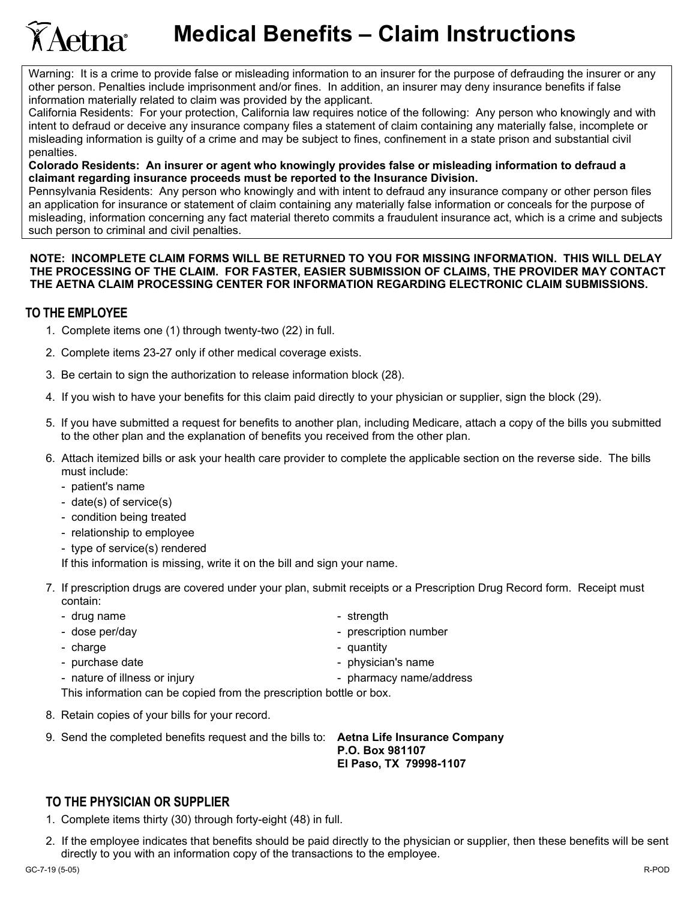Warning: It is a crime to provide false or misleading information to an insurer for the purpose of defrauding the insurer or any other person. Penalties include imprisonment and/or fines. In addition, an insurer may deny insurance benefits if false information materially related to claim was provided by the applicant.

California Residents: For your protection, California law requires notice of the following: Any person who knowingly and with intent to defraud or deceive any insurance company files a statement of claim containing any materially false, incomplete or misleading information is guilty of a crime and may be subject to fines, confinement in a state prison and substantial civil penalties.

**Colorado Residents: An insurer or agent who knowingly provides false or misleading information to defraud a claimant regarding insurance proceeds must be reported to the Insurance Division.** 

Pennsylvania Residents: Any person who knowingly and with intent to defraud any insurance company or other person files an application for insurance or statement of claim containing any materially false information or conceals for the purpose of misleading, information concerning any fact material thereto commits a fraudulent insurance act, which is a crime and subjects such person to criminal and civil penalties.

## **NOTE: INCOMPLETE CLAIM FORMS WILL BE RETURNED TO YOU FOR MISSING INFORMATION. THIS WILL DELAY THE PROCESSING OF THE CLAIM. FOR FASTER, EASIER SUBMISSION OF CLAIMS, THE PROVIDER MAY CONTACT THE AETNA CLAIM PROCESSING CENTER FOR INFORMATION REGARDING ELECTRONIC CLAIM SUBMISSIONS.**

## **TO THE EMPLOYEE**

- 1. Complete items one (1) through twenty-two (22) in full.
- 2. Complete items 23-27 only if other medical coverage exists.
- 3. Be certain to sign the authorization to release information block (28).
- 4. If you wish to have your benefits for this claim paid directly to your physician or supplier, sign the block (29).
- 5. If you have submitted a request for benefits to another plan, including Medicare, attach a copy of the bills you submitted to the other plan and the explanation of benefits you received from the other plan.
- 6. Attach itemized bills or ask your health care provider to complete the applicable section on the reverse side. The bills must include:
	- patient's name
	- date(s) of service(s)
	- condition being treated
	- relationship to employee
	- type of service(s) rendered

If this information is missing, write it on the bill and sign your name.

- 7. If prescription drugs are covered under your plan, submit receipts or a Prescription Drug Record form. Receipt must contain:
	- drug name  $\overline{\phantom{a}}$  strength
	-
	- charge  $\sim$  charge  $\sim$  charge  $\sim$  charge  $\sim$  cuantity
	-
	- nature of illness or injury and the state of the pharmacy name/address
- - dose per/day extends the prescription number
		-
	- purchase date  $\overline{\phantom{a}}$  physician's name
		-

This information can be copied from the prescription bottle or box.

- 8. Retain copies of your bills for your record.
- 9. Send the completed benefits request and the bills to: **Aetna Life Insurance Company**

 **P.O. Box 981107 El Paso, TX 79998-1107** 

## **TO THE PHYSICIAN OR SUPPLIER**

- 1. Complete items thirty (30) through forty-eight (48) in full.
- 2. If the employee indicates that benefits should be paid directly to the physician or supplier, then these benefits will be sent directly to you with an information copy of the transactions to the employee.